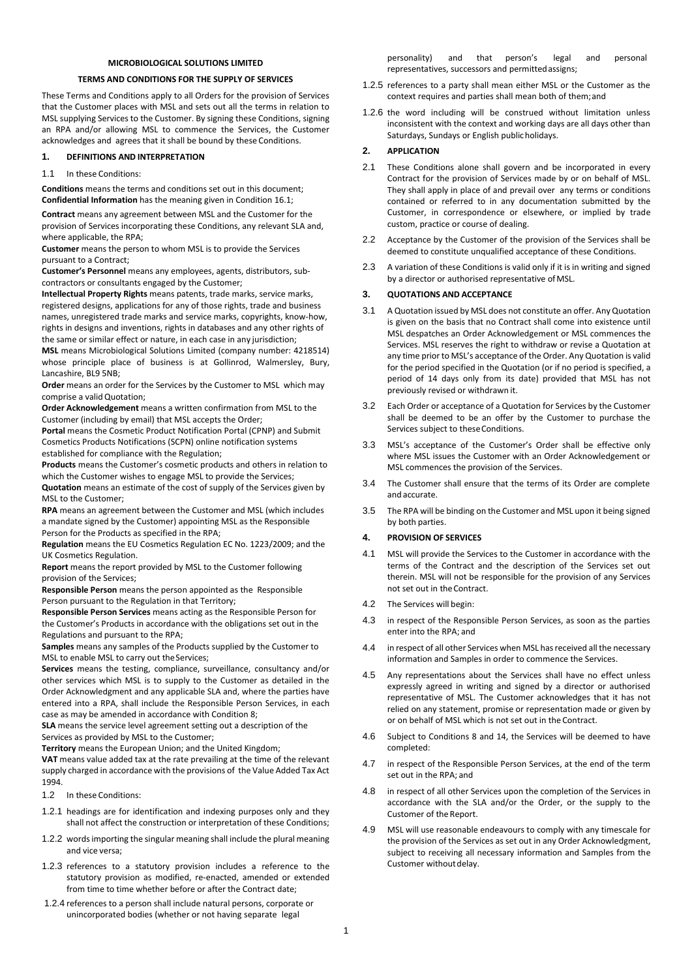## **MICROBIOLOGICAL SOLUTIONS LIMITED**

#### **TERMS AND CONDITIONS FOR THE SUPPLY OF SERVICES**

These Terms and Conditions apply to all Orders for the provision of Services that the Customer places with MSL and sets out all the terms in relation to MSL supplying Services to the Customer. By signing these Conditions, signing an RPA and/or allowing MSL to commence the Services, the Customer acknowledges and agrees that it shall be bound by these Conditions.

#### **1. DEFINITIONS AND INTERPRETATION**

#### 1.1 In these Conditions:

**Conditions** means the terms and conditions set out in this document; **Confidential Information** has the meaning given in Conditio[n 16.1;](#page-3-0)

**Contract** means any agreement between MSL and the Customer for the provision of Services incorporating these Conditions, any relevant SLA and, where applicable, the RPA;

**Customer** means the person to whom MSL is to provide the Services pursuant to a Contract;

**Customer's Personnel** means any employees, agents, distributors, subcontractors or consultants engaged by the Customer;

**Intellectual Property Rights** means patents, trade marks, service marks, registered designs, applications for any of those rights, trade and business names, unregistered trade marks and service marks, copyrights, know-how, rights in designs and inventions, rights in databases and any other rights of the same or similar effect or nature, in each case in any jurisdiction;

**MSL** means Microbiological Solutions Limited (company number: 4218514) whose principle place of business is at Gollinrod, Walmersley, Bury, Lancashire, BL9 5NB;

**Order** means an order for the Services by the Customer to MSL which may comprise a valid Quotation;

**Order Acknowledgement** means a written confirmation from MSL to the Customer (including by email) that MSL accepts the Order;

**Portal** means the Cosmetic Product Notification Portal (CPNP) and Submit Cosmetics Products Notifications (SCPN) online notification systems established for compliance with the Regulation;

**Products** means the Customer's cosmetic products and others in relation to which the Customer wishes to engage MSL to provide the Services; **Quotation** means an estimate of the cost of supply of the Services given by

MSL to the Customer;

**RPA** means an agreement between the Customer and MSL (which includes a mandate signed by the Customer) appointing MSL as the Responsible Person for the Products as specified in the RPA;

**Regulation** means the EU Cosmetics Regulation EC No. 1223/2009; and the UK Cosmetics Regulation.

**Report** means the report provided by MSL to the Customer following provision of the Services;

**Responsible Person** means the person appointed as the Responsible Person pursuant to the Regulation in that Territory;

**Responsible Person Services** means acting as the Responsible Person for the Customer's Products in accordance with the obligations set out in the Regulations and pursuant to the RPA;

**Samples** means any samples of the Products supplied by the Customer to MSL to enable MSL to carry out theServices;

**Services** means the testing, compliance, surveillance, consultancy and/or other services which MSL is to supply to the Customer as detailed in the Order Acknowledgment and any applicable SLA and, where the parties have entered into a RPA, shall include the Responsible Person Services, in each case as may be amended in accordance with Conditio[n 8;](#page-1-0)

**SLA** means the service level agreement setting out a description of the Services as provided by MSL to the Customer;

**Territory** means the European Union; and the United Kingdom;

**VAT** means value added tax at the rate prevailing at the time of the relevant supply charged in accordance with the provisions of the Value Added Tax Act 1994.

- 1.2 In these Conditions:
- 1.2.1 headings are for identification and indexing purposes only and they shall not affect the construction or interpretation of these Conditions;
- 1.2.2 words importing the singular meaning shall include the plural meaning and vice versa;
- 1.2.3 references to a statutory provision includes a reference to the statutory provision as modified, re-enacted, amended or extended from time to time whether before or after the Contract date;
- 1.2.4 references to a person shall include natural persons, corporate or unincorporated bodies (whether or not having separate legal

personality) and that person's legal and personal representatives, successors and permittedassigns;

- 1.2.5 references to a party shall mean either MSL or the Customer as the context requires and parties shall mean both of them;and
- 1.2.6 the word including will be construed without limitation unless inconsistent with the context and working days are all days other than Saturdays, Sundays or English publicholidays.

## **2. APPLICATION**

- 2.1 These Conditions alone shall govern and be incorporated in every Contract for the provision of Services made by or on behalf of MSL. They shall apply in place of and prevail over any terms or conditions contained or referred to in any documentation submitted by the Customer, in correspondence or elsewhere, or implied by trade custom, practice or course of dealing.
- 2.2 Acceptance by the Customer of the provision of the Services shall be deemed to constitute unqualified acceptance of these Conditions.
- 2.3 A variation of these Conditions is valid only if it is in writing and signed by a director or authorised representative ofMSL.

#### **3. QUOTATIONS AND ACCEPTANCE**

- 3.1 A Quotation issued by MSL does not constitute an offer. Any Quotation is given on the basis that no Contract shall come into existence until MSL despatches an Order Acknowledgement or MSL commences the Services. MSL reserves the right to withdraw or revise a Quotation at any time prior to MSL's acceptance of the Order. Any Quotation is valid for the period specified in the Quotation (or if no period is specified, a period of 14 days only from its date) provided that MSL has not previously revised or withdrawn it.
- 3.2 Each Order or acceptance of a Quotation for Services by the Customer shall be deemed to be an offer by the Customer to purchase the Services subject to these Conditions.
- 3.3 MSL's acceptance of the Customer's Order shall be effective only where MSL issues the Customer with an Order Acknowledgement or MSL commences the provision of the Services.
- 3.4 The Customer shall ensure that the terms of its Order are complete and accurate.
- 3.5 The RPA will be binding on the Customer and MSL upon it being signed by both parties.

# **4. PROVISION OF SERVICES**

- 4.1 MSL will provide the Services to the Customer in accordance with the terms of the Contract and the description of the Services set out therein. MSL will not be responsible for the provision of any Services not set out in theContract.
- 4.2 The Services will begin:
- 4.3 in respect of the Responsible Person Services, as soon as the parties enter into the RPA; and
- 4.4 in respect of all other Services when MSL has received all the necessary information and Samples in order to commence the Services.
- 4.5 Any representations about the Services shall have no effect unless expressly agreed in writing and signed by a director or authorised representative of MSL. The Customer acknowledges that it has not relied on any statement, promise or representation made or given by or on behalf of MSL which is not set out in the Contract.
- 4.6 Subject to Conditions [8](#page-1-0) an[d 14,](#page-3-1) the Services will be deemed to have completed:
- 4.7 in respect of the Responsible Person Services, at the end of the term set out in the RPA; and
- 4.8 in respect of all other Services upon the completion of the Services in accordance with the SLA and/or the Order, or the supply to the Customer of the Report.
- 4.9 MSL will use reasonable endeavours to comply with any timescale for the provision of the Services as set out in any Order Acknowledgment, subject to receiving all necessary information and Samples from the Customer without delay.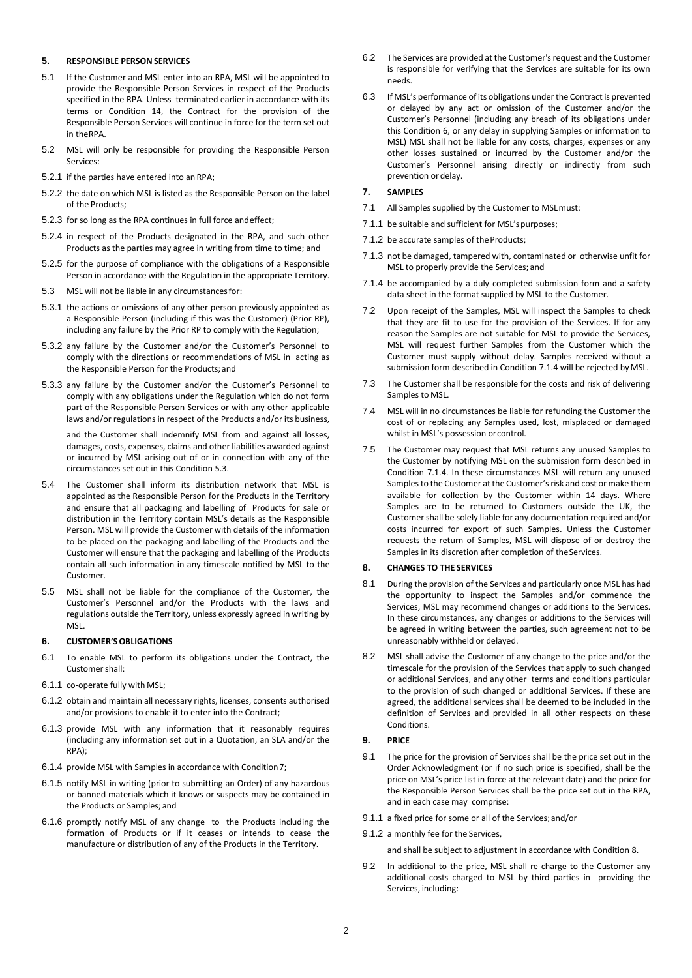### **5. RESPONSIBLE PERSONSERVICES**

- 5.1 If the Customer and MSL enter into an RPA, MSL will be appointed to provide the Responsible Person Services in respect of the Products specified in the RPA. Unless terminated earlier in accordance with its terms or Condition [14,](#page-3-1) the Contract for the provision of the Responsible Person Services will continue in force for the term set out in theRPA.
- 5.2 MSL will only be responsible for providing the Responsible Person Services:
- 5.2.1 if the parties have entered into an RPA;
- 5.2.2 the date on which MSL is listed as the Responsible Person on the label of the Products;
- 5.2.3 for so long as the RPA continues in full force andeffect;
- 5.2.4 in respect of the Products designated in the RPA, and such other Products as the parties may agree in writing from time to time; and
- 5.2.5 for the purpose of compliance with the obligations of a Responsible Person in accordance with the Regulation in the appropriate Territory.
- <span id="page-1-1"></span>5.3 MSL will not be liable in any circumstancesfor:
- 5.3.1 the actions or omissions of any other person previously appointed as a Responsible Person (including if this was the Customer) (Prior RP), including any failure by the Prior RP to comply with the Regulation;
- 5.3.2 any failure by the Customer and/or the Customer's Personnel to comply with the directions or recommendations of MSL in acting as the Responsible Person for the Products;and
- 5.3.3 any failure by the Customer and/or the Customer's Personnel to comply with any obligations under the Regulation which do not form part of the Responsible Person Services or with any other applicable laws and/or regulations in respect of the Products and/or its business,

and the Customer shall indemnify MSL from and against all losses, damages, costs, expenses, claims and other liabilities awarded against or incurred by MSL arising out of or in connection with any of the circumstances set out in this Conditio[n 5.3.](#page-1-1)

- 5.4 The Customer shall inform its distribution network that MSL is appointed as the Responsible Person for the Products in the Territory and ensure that all packaging and labelling of Products for sale or distribution in the Territory contain MSL's details as the Responsible Person. MSL will provide the Customer with details of the information to be placed on the packaging and labelling of the Products and the Customer will ensure that the packaging and labelling of the Products contain all such information in any timescale notified by MSL to the Customer.
- 5.5 MSL shall not be liable for the compliance of the Customer, the Customer's Personnel and/or the Products with the laws and regulations outside the Territory, unless expressly agreed in writing by MSL.

# <span id="page-1-3"></span>**6. CUSTOMER'SOBLIGATIONS**

- 6.1 To enable MSL to perform its obligations under the Contract, the Customer shall:
- 6.1.1 co-operate fully with MSL;
- 6.1.2 obtain and maintain all necessary rights, licenses, consents authorised and/or provisions to enable it to enter into the Contract;
- 6.1.3 provide MSL with any information that it reasonably requires (including any information set out in a Quotation, an SLA and/or the RPA);
- 6.1.4 provide MSL with Samples in accordance with Conditio[n7;](#page-1-2)
- 6.1.5 notify MSL in writing (prior to submitting an Order) of any hazardous or banned materials which it knows or suspects may be contained in the Products or Samples; and
- 6.1.6 promptly notify MSL of any change to the Products including the formation of Products or if it ceases or intends to cease the manufacture or distribution of any of the Products in the Territory.
- 6.2 The Services are provided at the Customer's request and the Customer is responsible for verifying that the Services are suitable for its own needs.
- 6.3 If MSL's performance of its obligations under the Contract is prevented or delayed by any act or omission of the Customer and/or the Customer's Personnel (including any breach of its obligations under this Conditio[n 6,](#page-1-3) or any delay in supplying Samples or information to MSL) MSL shall not be liable for any costs, charges, expenses or any other losses sustained or incurred by the Customer and/or the Customer's Personnel arising directly or indirectly from such prevention ordelay.

# <span id="page-1-2"></span>**7. SAMPLES**

- 7.1 All Samples supplied by the Customer to MSLmust:
- 7.1.1 be suitable and sufficient for MSL'spurposes;
- 7.1.2 be accurate samples of the Products:
- 7.1.3 not be damaged, tampered with, contaminated or otherwise unfit for MSL to properly provide the Services; and
- <span id="page-1-4"></span>7.1.4 be accompanied by a duly completed submission form and a safety data sheet in the format supplied by MSL to the Customer.
- 7.2 Upon receipt of the Samples, MSL will inspect the Samples to check that they are fit to use for the provision of the Services. If for any reason the Samples are not suitable for MSL to provide the Services, MSL will request further Samples from the Customer which the Customer must supply without delay. Samples received without a submission form described in Conditio[n 7.1.4](#page-1-4) will be rejected byMSL.
- 7.3 The Customer shall be responsible for the costs and risk of delivering Samples to MSL.
- 7.4 MSL will in no circumstances be liable for refunding the Customer the cost of or replacing any Samples used, lost, misplaced or damaged whilst in MSL's possession orcontrol.
- 7.5 The Customer may request that MSL returns any unused Samples to the Customer by notifying MSL on the submission form described in Condition [7.1.4.](#page-1-4) In these circumstances MSL will return any unused Samples to the Customer at the Customer's risk and cost or make them available for collection by the Customer within 14 days. Where Samples are to be returned to Customers outside the UK, the Customer shall be solely liable for any documentation required and/or costs incurred for export of such Samples. Unless the Customer requests the return of Samples, MSL will dispose of or destroy the Samples in its discretion after completion of theServices.

# <span id="page-1-0"></span>**8. CHANGES TO THE SERVICES**

- 8.1 During the provision of the Services and particularly once MSL has had the opportunity to inspect the Samples and/or commence the Services, MSL may recommend changes or additions to the Services. In these circumstances, any changes or additions to the Services will be agreed in writing between the parties, such agreement not to be unreasonably withheld or delayed.
- 8.2 MSL shall advise the Customer of any change to the price and/or the timescale for the provision of the Services that apply to such changed or additional Services, and any other terms and conditions particular to the provision of such changed or additional Services. If these are agreed, the additional services shall be deemed to be included in the definition of Services and provided in all other respects on these Conditions.

# <span id="page-1-5"></span>**9. PRICE**

- 9.1 The price for the provision of Services shall be the price set out in the Order Acknowledgment (or if no such price is specified, shall be the price on MSL's price list in force at the relevant date) and the price for the Responsible Person Services shall be the price set out in the RPA, and in each case may comprise:
- 9.1.1 a fixed price for some or all of the Services;and/or
- 9.1.2 a monthly fee for the Services,

and shall be subject to adjustment in accordance with Conditio[n 8.](#page-1-0)

9.2 In additional to the price, MSL shall re-charge to the Customer any additional costs charged to MSL by third parties in providing the Services, including: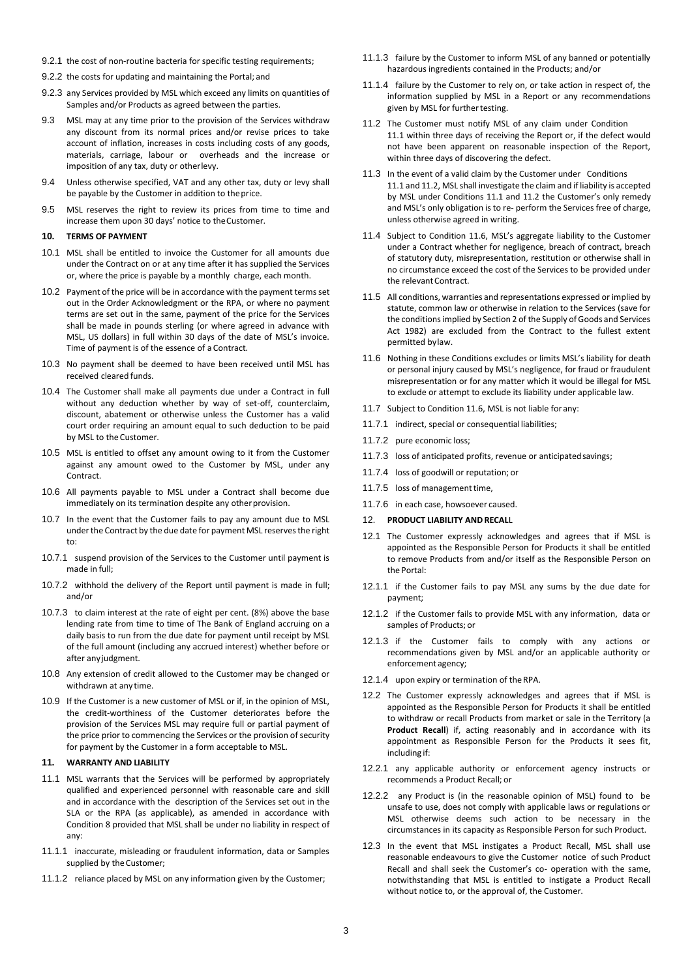- 9.2.1 the cost of non-routine bacteria for specific testing requirements;
- 9.2.2 the costs for updating and maintaining the Portal; and
- 9.2.3 any Services provided by MSL which exceed any limits on quantities of Samples and/or Products as agreed between the parties.
- 9.3 MSL may at any time prior to the provision of the Services withdraw any discount from its normal prices and/or revise prices to take account of inflation, increases in costs including costs of any goods, materials, carriage, labour or overheads and the increase or imposition of any tax, duty or otherlevy.
- 9.4 Unless otherwise specified, VAT and any other tax, duty or levy shall be payable by the Customer in addition to theprice.
- 9.5 MSL reserves the right to review its prices from time to time and increase them upon 30 days' notice to theCustomer.

## <span id="page-2-3"></span>**10. TERMS OF PAYMENT**

- 10.1 MSL shall be entitled to invoice the Customer for all amounts due under the Contract on or at any time after it has supplied the Services or, where the price is payable by a monthly charge, each month.
- 10.2 Payment of the price will be in accordance with the payment terms set out in the Order Acknowledgment or the RPA, or where no payment terms are set out in the same, payment of the price for the Services shall be made in pounds sterling (or where agreed in advance with MSL, US dollars) in full within 30 days of the date of MSL's invoice. Time of payment is of the essence of a Contract.
- 10.3 No payment shall be deemed to have been received until MSL has received cleared funds.
- 10.4 The Customer shall make all payments due under a Contract in full without any deduction whether by way of set-off, counterclaim, discount, abatement or otherwise unless the Customer has a valid court order requiring an amount equal to such deduction to be paid by MSL to the Customer.
- 10.5 MSL is entitled to offset any amount owing to it from the Customer against any amount owed to the Customer by MSL, under any Contract.
- 10.6 All payments payable to MSL under a Contract shall become due immediately on its termination despite any other provision.
- 10.7 In the event that the Customer fails to pay any amount due to MSL under the Contract by the due date for payment MSL reserves the right to:
- 10.7.1 suspend provision of the Services to the Customer until payment is made in full;
- 10.7.2 withhold the delivery of the Report until payment is made in full; and/or
- 10.7.3 to claim interest at the rate of eight per cent. (8%) above the base lending rate from time to time of The Bank of England accruing on a daily basis to run from the due date for payment until receipt by MSL of the full amount (including any accrued interest) whether before or after anyjudgment.
- 10.8 Any extension of credit allowed to the Customer may be changed or withdrawn at any time.
- 10.9 If the Customer is a new customer of MSL or if, in the opinion of MSL, the credit-worthiness of the Customer deteriorates before the provision of the Services MSL may require full or partial payment of the price prior to commencing the Services or the provision of security for payment by the Customer in a form acceptable to MSL.

## <span id="page-2-4"></span>**11. WARRANTY AND LIABILITY**

- <span id="page-2-0"></span>11.1 MSL warrants that the Services will be performed by appropriately qualified and experienced personnel with reasonable care and skill and in accordance with the description of the Services set out in the SLA or the RPA (as applicable), as amended in accordance with Condition [8](#page-1-0) provided that MSL shall be under no liability in respect of any:
- 11.1.1 inaccurate, misleading or fraudulent information, data or Samples supplied by the Customer;
- 11.1.2 reliance placed by MSL on any information given by the Customer;
- 11.1.3 failure by the Customer to inform MSL of any banned or potentially hazardous ingredients contained in the Products; and/or
- 11.1.4 failure by the Customer to rely on, or take action in respect of, the information supplied by MSL in a Report or any recommendations given by MSL for further testing.
- <span id="page-2-1"></span>11.2 The Customer must notify MSL of any claim under Condition [11.1](#page-2-0) within three days of receiving the Report or, if the defect would not have been apparent on reasonable inspection of the Report, within three days of discovering the defect.
- 11.3 In the event of a valid claim by the Customer under Conditions [11.1](#page-2-0) an[d 11.2,](#page-2-1) MSL shall investigate the claim and if liability is accepted by MSL under Condition[s 11.1](#page-2-0) and [11.2](#page-2-1) the Customer's only remedy and MSL's only obligation is to re- perform the Services free of charge, unless otherwise agreed in writing.
- 11.4 Subject to Condition [11.6,](#page-2-2) MSL's aggregate liability to the Customer under a Contract whether for negligence, breach of contract, breach of statutory duty, misrepresentation, restitution or otherwise shall in no circumstance exceed the cost of the Services to be provided under the relevant Contract.
- 11.5 All conditions, warranties and representations expressed or implied by statute, common law or otherwise in relation to the Services (save for the conditions implied by Section 2 of the Supply of Goods and Services Act 1982) are excluded from the Contract to the fullest extent permitted bylaw.
- <span id="page-2-2"></span>11.6 Nothing in these Conditions excludes or limits MSL's liability for death or personal injury caused by MSL's negligence, for fraud or fraudulent misrepresentation or for any matter which it would be illegal for MSL to exclude or attempt to exclude its liability under applicable law.
- 11.7 Subject to Conditio[n 11.6,](#page-2-2) MSL is not liable for any:
- 11.7.1 indirect, special or consequentialliabilities;
- 11.7.2 pure economic loss;
- 11.7.3 loss of anticipated profits, revenue or anticipatedsavings;
- 11.7.4 loss of goodwill or reputation; or
- 11.7.5 loss of management time,
- 11.7.6 in each case, howsoever caused.

## <span id="page-2-5"></span>12. **PRODUCT LIABILITY ANDRECAL**L

- 12.1 The Customer expressly acknowledges and agrees that if MSL is appointed as the Responsible Person for Products it shall be entitled to remove Products from and/or itself as the Responsible Person on the Portal:
- 12.1.1 if the Customer fails to pay MSL any sums by the due date for payment;
- 12.1.2 if the Customer fails to provide MSL with any information, data or samples of Products; or
- 12.1.3 if the Customer fails to comply with any actions or recommendations given by MSL and/or an applicable authority or enforcement agency;
- 12.1.4 upon expiry or termination of the RPA.
- 12.2 The Customer expressly acknowledges and agrees that if MSL is appointed as the Responsible Person for Products it shall be entitled to withdraw or recall Products from market or sale in the Territory (a **Product Recall**) if, acting reasonably and in accordance with its appointment as Responsible Person for the Products it sees fit, including if:
- 12.2.1 any applicable authority or enforcement agency instructs or recommends a Product Recall; or
- 12.2.2 any Product is (in the reasonable opinion of MSL) found to be unsafe to use, does not comply with applicable laws or regulations or MSL otherwise deems such action to be necessary in the circumstances in its capacity as Responsible Person for such Product.
- 12.3 In the event that MSL instigates a Product Recall, MSL shall use reasonable endeavours to give the Customer notice of such Product Recall and shall seek the Customer's co- operation with the same, notwithstanding that MSL is entitled to instigate a Product Recall without notice to, or the approval of, the Customer.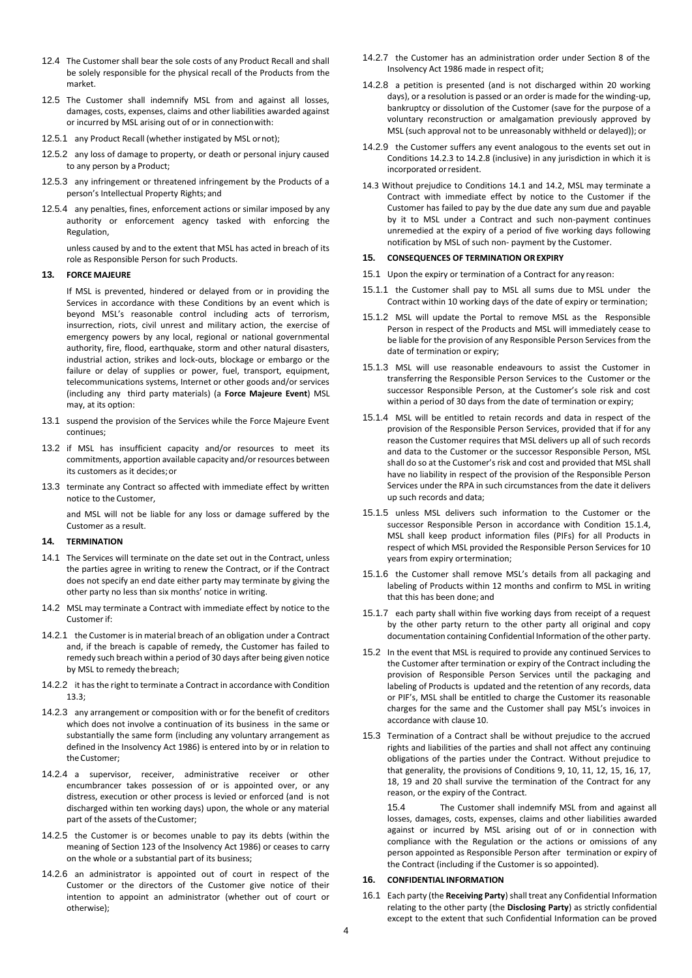- 12.4 The Customer shall bear the sole costs of any Product Recall and shall be solely responsible for the physical recall of the Products from the market.
- 12.5 The Customer shall indemnify MSL from and against all losses, damages, costs, expenses, claims and other liabilities awarded against or incurred by MSL arising out of or in connectionwith:
- 12.5.1 any Product Recall (whether instigated by MSL ornot);
- 12.5.2 any loss of damage to property, or death or personal injury caused to any person by a Product;
- 12.5.3 any infringement or threatened infringement by the Products of a person's Intellectual Property Rights; and
- 12.5.4 any penalties, fines, enforcement actions or similar imposed by any authority or enforcement agency tasked with enforcing the Regulation,

unless caused by and to the extent that MSL has acted in breach of its role as Responsible Person for such Products.

## **13. FORCE MAJEURE**

If MSL is prevented, hindered or delayed from or in providing the Services in accordance with these Conditions by an event which is beyond MSL's reasonable control including acts of terrorism, insurrection, riots, civil unrest and military action, the exercise of emergency powers by any local, regional or national governmental authority, fire, flood, earthquake, storm and other natural disasters, industrial action, strikes and lock-outs, blockage or embargo or the failure or delay of supplies or power, fuel, transport, equipment, telecommunications systems, Internet or other goods and/or services (including any third party materials) (a **Force Majeure Event**) MSL may, at its option:

- 13.1 suspend the provision of the Services while the Force Majeure Event continues;
- 13.2 if MSL has insufficient capacity and/or resources to meet its commitments, apportion available capacity and/or resources between its customers as it decides;or
- <span id="page-3-2"></span>13.3 terminate any Contract so affected with immediate effect by written notice to the Customer,

and MSL will not be liable for any loss or damage suffered by the Customer as a result.

#### <span id="page-3-1"></span>**14. TERMINATION**

- <span id="page-3-5"></span>14.1 The Services will terminate on the date set out in the Contract, unless the parties agree in writing to renew the Contract, or if the Contract does not specify an end date either party may terminate by giving the other party no less than six months' notice in writing.
- <span id="page-3-6"></span>14.2 MSL may terminate a Contract with immediate effect by notice to the Customer if:
- 14.2.1 the Customer is in material breach of an obligation under a Contract and, if the breach is capable of remedy, the Customer has failed to remedy such breach within a period of 30 days after being given notice by MSL to remedy thebreach;
- 14.2.2 it has the right to terminate a Contract in accordance with Condition [13.3;](#page-3-2)
- <span id="page-3-3"></span>14.2.3 any arrangement or composition with or for the benefit of creditors which does not involve a continuation of its business in the same or substantially the same form (including any voluntary arrangement as defined in the Insolvency Act 1986) is entered into by or in relation to theCustomer;
- 14.2.4 a supervisor, receiver, administrative receiver or other encumbrancer takes possession of or is appointed over, or any distress, execution or other process is levied or enforced (and is not discharged within ten working days) upon, the whole or any material part of the assets of the Customer;
- 14.2.5 the Customer is or becomes unable to pay its debts (within the meaning of Section 123 of the Insolvency Act 1986) or ceases to carry on the whole or a substantial part of its business;
- 14.2.6 an administrator is appointed out of court in respect of the Customer or the directors of the Customer give notice of their intention to appoint an administrator (whether out of court or otherwise);
- 14.2.7 the Customer has an administration order under Section 8 of the Insolvency Act 1986 made in respect ofit;
- <span id="page-3-4"></span>14.2.8 a petition is presented (and is not discharged within 20 working days), or a resolution is passed or an order is made for the winding-up, bankruptcy or dissolution of the Customer (save for the purpose of a voluntary reconstruction or amalgamation previously approved by MSL (such approval not to be unreasonably withheld or delayed)); or
- 14.2.9 the Customer suffers any event analogous to the events set out in Condition[s 14.2.3](#page-3-3) t[o 14.2.8](#page-3-4) (inclusive) in any jurisdiction in which it is incorporated orresident.
- 14.3 Without prejudice to Conditions [14.1](#page-3-5) an[d 14.2,](#page-3-6) MSL may terminate a Contract with immediate effect by notice to the Customer if the Customer has failed to pay by the due date any sum due and payable by it to MSL under a Contract and such non-payment continues unremedied at the expiry of a period of five working days following notification by MSL of such non- payment by the Customer.

#### <span id="page-3-8"></span>**15. CONSEQUENCES OF TERMINATION OREXPIRY**

- 15.1 Upon the expiry or termination of a Contract for any reason:
- 15.1.1 the Customer shall pay to MSL all sums due to MSL under the Contract within 10 working days of the date of expiry or termination;
- 15.1.2 MSL will update the Portal to remove MSL as the Responsible Person in respect of the Products and MSL will immediately cease to be liable for the provision of any Responsible Person Services from the date of termination or expiry;
- 15.1.3 MSL will use reasonable endeavours to assist the Customer in transferring the Responsible Person Services to the Customer or the successor Responsible Person, at the Customer's sole risk and cost within a period of 30 days from the date of termination or expiry;
- <span id="page-3-7"></span>15.1.4 MSL will be entitled to retain records and data in respect of the provision of the Responsible Person Services, provided that if for any reason the Customer requires that MSL delivers up all of such records and data to the Customer or the successor Responsible Person, MSL shall do so at the Customer's risk and cost and provided that MSL shall have no liability in respect of the provision of the Responsible Person Services under the RPA in such circumstances from the date it delivers up such records and data;
- 15.1.5 unless MSL delivers such information to the Customer or the successor Responsible Person in accordance with Condition [15.1.4,](#page-3-7) MSL shall keep product information files (PIFs) for all Products in respect of which MSL provided the Responsible Person Services for 10 years from expiry ortermination;
- 15.1.6 the Customer shall remove MSL's details from all packaging and labeling of Products within 12 months and confirm to MSL in writing that this has been done; and
- 15.1.7 each party shall within five working days from receipt of a request by the other party return to the other party all original and copy documentation containing Confidential Information of the other party.
- 15.2 In the event that MSL is required to provide any continued Services to the Customer after termination or expiry of the Contract including the provision of Responsible Person Services until the packaging and labeling of Products is updated and the retention of any records, data or PIF's, MSL shall be entitled to charge the Customer its reasonable charges for the same and the Customer shall pay MSL's invoices in accordance with clause [10.](#page-2-3)
- 15.3 Termination of a Contract shall be without prejudice to the accrued rights and liabilities of the parties and shall not affect any continuing obligations of the parties under the Contract. Without prejudice to that generality, the provisions of Conditions [9,](#page-1-5) [10,](#page-2-3) [11,](#page-2-4) [12,](#page-2-5) [15,](#page-3-8) [16,](#page-3-9) [17,](#page-4-0) [18,](#page-4-1) [19](#page-4-2) and [20](#page-4-3) shall survive the termination of the Contract for any reason, or the expiry of the Contract.

15.4 The Customer shall indemnify MSL from and against all losses, damages, costs, expenses, claims and other liabilities awarded against or incurred by MSL arising out of or in connection with compliance with the Regulation or the actions or omissions of any person appointed as Responsible Person after termination or expiry of the Contract (including if the Customer is so appointed).

## <span id="page-3-9"></span>**16. CONFIDENTIAL INFORMATION**

<span id="page-3-0"></span>16.1 Each party (the **Receiving Party**) shall treat any Confidential Information relating to the other party (the **Disclosing Party**) as strictly confidential except to the extent that such Confidential Information can be proved